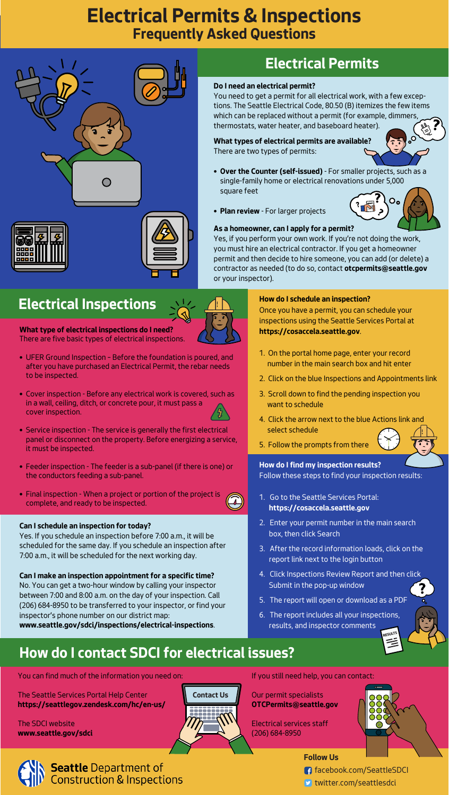# **Electrical Permits & Inspections Frequently Asked Questions**





#### facebook.com/SeattleSDCI

**D** twitter.com/seattlesdci

### **Do I need an electrical permit?**

You need to get a permit for all electrical work, with a few exceptions. The Seattle Electrical Code, 80.50 (B) itemizes the few items which can be replaced without a permit (for example, dimmers, thermostats, water heater, and baseboard heater).

### **How do I schedule an inspection?**

Once you have a permit, you can schedule your inspections using the Seattle Services Portal at **https://cosaccela.seattle.gov**.

1. On the portal home page, enter your record number in the main search box and hit enter



- 2. Click on the blue Inspections and Appointments link
- 3. Scroll down to find the pending inspection you want to schedule
- 4. Click the arrow next to the blue Actions link and select schedule
- 5. Follow the prompts from there

# **How do I contact SDCI for electrical issues?**

You can find much of the information you need on:

The Seattle Services Portal Help Center **https://seattlegov.zendesk.com/hc/en-us/**

The SDCI website **www.seattle.gov/sdci** If you still need help, you can contact:

## Our permit specialists **OTCPermits@seattle.gov**

Electrical services staff (206) 684-8950





# **Electrical Permits**

**What types of electrical permits are available?** There are two types of permits:

- **Over the Counter (self-issued)**  For smaller projects, such as a single-family home or electrical renovations under 5,000 square feet
- **Plan review** For larger projects



#### **As a homeowner, can I apply for a permit?**

- 1. Go to the Seattle Services Portal:  **https://cosaccela.seattle.gov**
- 2. Enter your permit number in the main search box, then click Search
- 3. After the record information loads, click on the report link next to the login button
- 4. Click Inspections Review Report and then click Submit in the pop-up window
- 5. The report will open or download as a PDF
- 6. The report includes all your inspections, results, and inspector comments RESULTS



Yes, if you perform your own work. If you're not doing the work, you must hire an electrical contractor. If you get a homeowner permit and then decide to hire someone, you can add (or delete) a contractor as needed (to do so, contact **otcpermits@seattle.gov**  or your inspector).

# **Electrical Inspections**

## **What type of electrical inspections do I need?**

There are five basic types of electrical inspections.

• UFER Ground Inspection – Before the foundation is poured, and after you have purchased an Electrical Permit, the rebar needs to be inspected.

- Cover inspection Before any electrical work is covered, such as in a wall, ceiling, ditch, or concrete pour, it must pass a cover inspection.
- Service inspection The service is generally the first electrical panel or disconnect on the property. Before energizing a service, it must be inspected.
- Feeder inspection The feeder is a sub-panel (if there is one) or the conductors feeding a sub-panel.
- Final inspection When a project or portion of the project is complete, and ready to be inspected.

## **Can I schedule an inspection for today?**

Yes. If you schedule an inspection before 7:00 a.m., it will be scheduled for the same day. If you schedule an inspection after 7:00 a.m., it will be scheduled for the next working day.

## **Can I make an inspection appointment for a specific time?**

No. You can get a two-hour window by calling your inspector between 7:00 and 8:00 a.m. on the day of your inspection. Call (206) 684-8950 to be transferred to your inspector, or find your inspector's phone number on our district map: **www.seattle.gov/sdci/inspections/electrical-inspections**.

## **How do I find my inspection results?**

Follow these steps to find your inspection results: